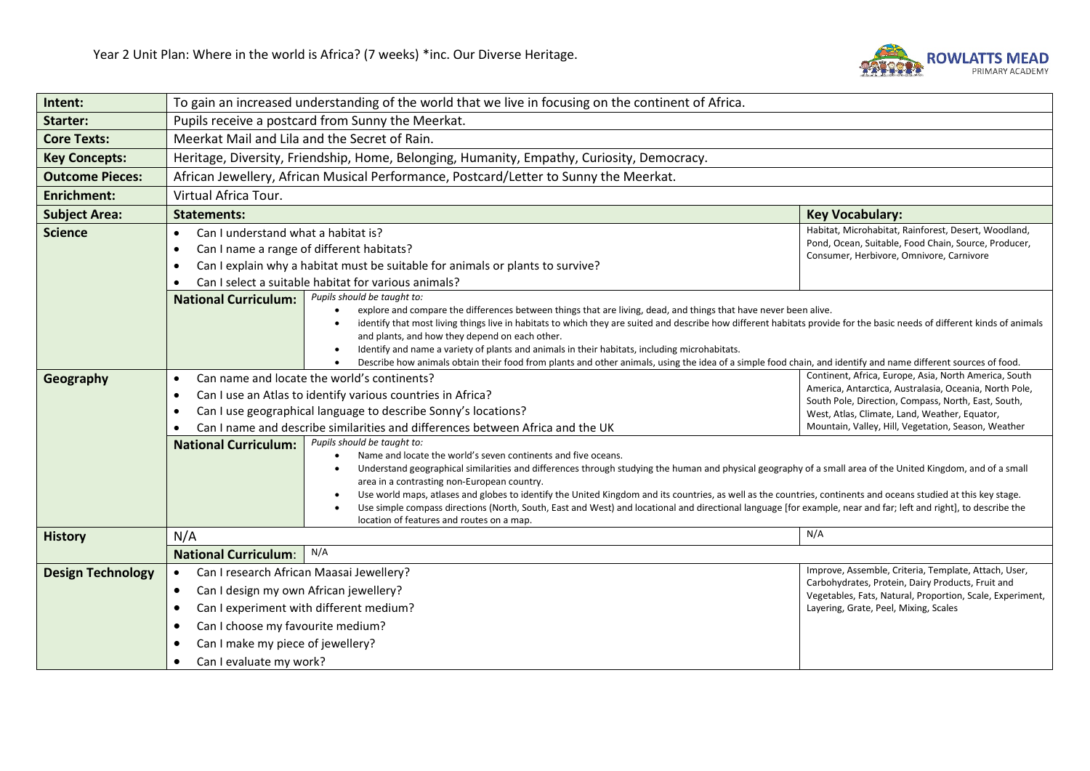

| Pupils receive a postcard from Sunny the Meerkat.<br>Meerkat Mail and Lila and the Secret of Rain.<br>Heritage, Diversity, Friendship, Home, Belonging, Humanity, Empathy, Curiosity, Democracy.<br>African Jewellery, African Musical Performance, Postcard/Letter to Sunny the Meerkat.<br>Virtual Africa Tour.                                                                                                                                                                                                                                                                                                                                                                                                                                                                                                                                                                                                                                                                                |                                                                                                                                                                                                                                                                                |
|--------------------------------------------------------------------------------------------------------------------------------------------------------------------------------------------------------------------------------------------------------------------------------------------------------------------------------------------------------------------------------------------------------------------------------------------------------------------------------------------------------------------------------------------------------------------------------------------------------------------------------------------------------------------------------------------------------------------------------------------------------------------------------------------------------------------------------------------------------------------------------------------------------------------------------------------------------------------------------------------------|--------------------------------------------------------------------------------------------------------------------------------------------------------------------------------------------------------------------------------------------------------------------------------|
|                                                                                                                                                                                                                                                                                                                                                                                                                                                                                                                                                                                                                                                                                                                                                                                                                                                                                                                                                                                                  |                                                                                                                                                                                                                                                                                |
|                                                                                                                                                                                                                                                                                                                                                                                                                                                                                                                                                                                                                                                                                                                                                                                                                                                                                                                                                                                                  |                                                                                                                                                                                                                                                                                |
|                                                                                                                                                                                                                                                                                                                                                                                                                                                                                                                                                                                                                                                                                                                                                                                                                                                                                                                                                                                                  |                                                                                                                                                                                                                                                                                |
|                                                                                                                                                                                                                                                                                                                                                                                                                                                                                                                                                                                                                                                                                                                                                                                                                                                                                                                                                                                                  |                                                                                                                                                                                                                                                                                |
|                                                                                                                                                                                                                                                                                                                                                                                                                                                                                                                                                                                                                                                                                                                                                                                                                                                                                                                                                                                                  |                                                                                                                                                                                                                                                                                |
| <b>Statements:</b>                                                                                                                                                                                                                                                                                                                                                                                                                                                                                                                                                                                                                                                                                                                                                                                                                                                                                                                                                                               | <b>Key Vocabulary:</b>                                                                                                                                                                                                                                                         |
| Can I understand what a habitat is?<br>Can I name a range of different habitats?<br>Can I explain why a habitat must be suitable for animals or plants to survive?<br>Can I select a suitable habitat for various animals?                                                                                                                                                                                                                                                                                                                                                                                                                                                                                                                                                                                                                                                                                                                                                                       | Habitat, Microhabitat, Rainforest, Desert, Woodland,<br>Pond, Ocean, Suitable, Food Chain, Source, Producer,<br>Consumer, Herbivore, Omnivore, Carnivore                                                                                                                       |
| <b>National Curriculum:</b><br>explore and compare the differences between things that are living, dead, and things that have never been alive.<br>identify that most living things live in habitats to which they are suited and describe how different habitats provide for the basic needs of different kinds of animals<br>and plants, and how they depend on each other.<br>Identify and name a variety of plants and animals in their habitats, including microhabitats.                                                                                                                                                                                                                                                                                                                                                                                                                                                                                                                   |                                                                                                                                                                                                                                                                                |
| Can name and locate the world's continents?<br>Can I use an Atlas to identify various countries in Africa?<br>Can I use geographical language to describe Sonny's locations?<br>Can I name and describe similarities and differences between Africa and the UK<br>Pupils should be taught to:<br><b>National Curriculum:</b><br>Name and locate the world's seven continents and five oceans.<br>Understand geographical similarities and differences through studying the human and physical geography of a small area of the United Kingdom, and of a small<br>area in a contrasting non-European country.<br>Use world maps, atlases and globes to identify the United Kingdom and its countries, as well as the countries, continents and oceans studied at this key stage.<br>Use simple compass directions (North, South, East and West) and locational and directional language [for example, near and far; left and right], to describe the<br>location of features and routes on a map. | Continent, Africa, Europe, Asia, North America, South<br>America, Antarctica, Australasia, Oceania, North Pole,<br>South Pole, Direction, Compass, North, East, South,<br>West, Atlas, Climate, Land, Weather, Equator,<br>Mountain, Valley, Hill, Vegetation, Season, Weather |
|                                                                                                                                                                                                                                                                                                                                                                                                                                                                                                                                                                                                                                                                                                                                                                                                                                                                                                                                                                                                  | N/A                                                                                                                                                                                                                                                                            |
| N/A<br><b>National Curriculum:</b>                                                                                                                                                                                                                                                                                                                                                                                                                                                                                                                                                                                                                                                                                                                                                                                                                                                                                                                                                               |                                                                                                                                                                                                                                                                                |
| Can I research African Maasai Jewellery?<br>Can I design my own African jewellery?<br>Can I experiment with different medium?<br>Can I choose my favourite medium?<br>Can I make my piece of jewellery?                                                                                                                                                                                                                                                                                                                                                                                                                                                                                                                                                                                                                                                                                                                                                                                          | Improve, Assemble, Criteria, Template, Attach, User,<br>Carbohydrates, Protein, Dairy Products, Fruit and<br>Vegetables, Fats, Natural, Proportion, Scale, Experiment,<br>Layering, Grate, Peel, Mixing, Scales                                                                |
|                                                                                                                                                                                                                                                                                                                                                                                                                                                                                                                                                                                                                                                                                                                                                                                                                                                                                                                                                                                                  | Pupils should be taught to:<br>Describe how animals obtain their food from plants and other animals, using the idea of a simple food chain, and identify and name different sources of food.<br>Can I evaluate my work?                                                        |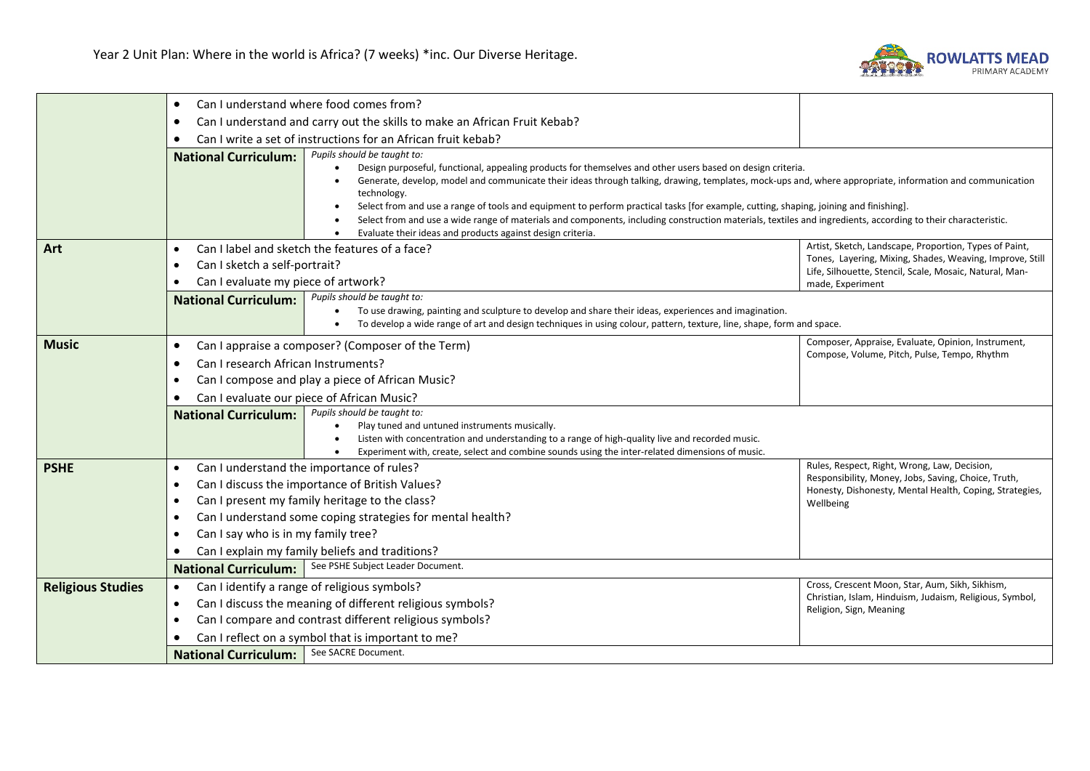

|                          | $\bullet$                                                                                                                              | Can I understand where food comes from?                                                                                                                                                                                                                                                                                                                                                                                                                                                                                                                                                                                                                                                     |                                                                                                                     |  |
|--------------------------|----------------------------------------------------------------------------------------------------------------------------------------|---------------------------------------------------------------------------------------------------------------------------------------------------------------------------------------------------------------------------------------------------------------------------------------------------------------------------------------------------------------------------------------------------------------------------------------------------------------------------------------------------------------------------------------------------------------------------------------------------------------------------------------------------------------------------------------------|---------------------------------------------------------------------------------------------------------------------|--|
|                          | Can I understand and carry out the skills to make an African Fruit Kebab?<br>$\bullet$                                                 |                                                                                                                                                                                                                                                                                                                                                                                                                                                                                                                                                                                                                                                                                             |                                                                                                                     |  |
|                          |                                                                                                                                        | Can I write a set of instructions for an African fruit kebab?                                                                                                                                                                                                                                                                                                                                                                                                                                                                                                                                                                                                                               |                                                                                                                     |  |
|                          | <b>National Curriculum:</b>                                                                                                            | Pupils should be taught to:<br>Design purposeful, functional, appealing products for themselves and other users based on design criteria.<br>Generate, develop, model and communicate their ideas through talking, drawing, templates, mock-ups and, where appropriate, information and communication<br>technology.<br>Select from and use a range of tools and equipment to perform practical tasks [for example, cutting, shaping, joining and finishing].<br>Select from and use a wide range of materials and components, including construction materials, textiles and ingredients, according to their characteristic.<br>Evaluate their ideas and products against design criteria. |                                                                                                                     |  |
| Art                      | $\bullet$                                                                                                                              | Can I label and sketch the features of a face?                                                                                                                                                                                                                                                                                                                                                                                                                                                                                                                                                                                                                                              | Artist, Sketch, Landscape, Proportion, Types of Paint,                                                              |  |
|                          | Can I sketch a self-portrait?<br>$\bullet$                                                                                             |                                                                                                                                                                                                                                                                                                                                                                                                                                                                                                                                                                                                                                                                                             | Tones, Layering, Mixing, Shades, Weaving, Improve, Still<br>Life, Silhouette, Stencil, Scale, Mosaic, Natural, Man- |  |
|                          | Can I evaluate my piece of artwork?<br>$\bullet$                                                                                       |                                                                                                                                                                                                                                                                                                                                                                                                                                                                                                                                                                                                                                                                                             | made, Experiment                                                                                                    |  |
|                          | <b>National Curriculum:</b>                                                                                                            | Pupils should be taught to:<br>To use drawing, painting and sculpture to develop and share their ideas, experiences and imagination.<br>To develop a wide range of art and design techniques in using colour, pattern, texture, line, shape, form and space.                                                                                                                                                                                                                                                                                                                                                                                                                                |                                                                                                                     |  |
| <b>Music</b>             | $\bullet$                                                                                                                              | Can I appraise a composer? (Composer of the Term)                                                                                                                                                                                                                                                                                                                                                                                                                                                                                                                                                                                                                                           | Composer, Appraise, Evaluate, Opinion, Instrument,                                                                  |  |
|                          | Can I research African Instruments?<br>$\bullet$                                                                                       |                                                                                                                                                                                                                                                                                                                                                                                                                                                                                                                                                                                                                                                                                             | Compose, Volume, Pitch, Pulse, Tempo, Rhythm                                                                        |  |
|                          | $\bullet$                                                                                                                              | Can I compose and play a piece of African Music?                                                                                                                                                                                                                                                                                                                                                                                                                                                                                                                                                                                                                                            |                                                                                                                     |  |
|                          | Can I evaluate our piece of African Music?<br>$\bullet$                                                                                |                                                                                                                                                                                                                                                                                                                                                                                                                                                                                                                                                                                                                                                                                             |                                                                                                                     |  |
|                          | <b>National Curriculum:</b>                                                                                                            | Pupils should be taught to:                                                                                                                                                                                                                                                                                                                                                                                                                                                                                                                                                                                                                                                                 |                                                                                                                     |  |
|                          |                                                                                                                                        | Play tuned and untuned instruments musically.<br>Listen with concentration and understanding to a range of high-quality live and recorded music.                                                                                                                                                                                                                                                                                                                                                                                                                                                                                                                                            |                                                                                                                     |  |
|                          |                                                                                                                                        | Experiment with, create, select and combine sounds using the inter-related dimensions of music.                                                                                                                                                                                                                                                                                                                                                                                                                                                                                                                                                                                             |                                                                                                                     |  |
| <b>PSHE</b>              | Rules, Respect, Right, Wrong, Law, Decision,<br>Can I understand the importance of rules?<br>$\bullet$                                 |                                                                                                                                                                                                                                                                                                                                                                                                                                                                                                                                                                                                                                                                                             |                                                                                                                     |  |
|                          | $\bullet$                                                                                                                              | Can I discuss the importance of British Values?                                                                                                                                                                                                                                                                                                                                                                                                                                                                                                                                                                                                                                             | Responsibility, Money, Jobs, Saving, Choice, Truth,<br>Honesty, Dishonesty, Mental Health, Coping, Strategies,      |  |
|                          | Can I present my family heritage to the class?<br>$\bullet$<br>Can I understand some coping strategies for mental health?<br>$\bullet$ |                                                                                                                                                                                                                                                                                                                                                                                                                                                                                                                                                                                                                                                                                             | Wellbeing                                                                                                           |  |
|                          |                                                                                                                                        |                                                                                                                                                                                                                                                                                                                                                                                                                                                                                                                                                                                                                                                                                             |                                                                                                                     |  |
|                          | $\bullet$                                                                                                                              | Can I say who is in my family tree?                                                                                                                                                                                                                                                                                                                                                                                                                                                                                                                                                                                                                                                         |                                                                                                                     |  |
|                          |                                                                                                                                        | Can I explain my family beliefs and traditions?                                                                                                                                                                                                                                                                                                                                                                                                                                                                                                                                                                                                                                             |                                                                                                                     |  |
|                          | <b>National Curriculum:</b>                                                                                                            | See PSHE Subject Leader Document.                                                                                                                                                                                                                                                                                                                                                                                                                                                                                                                                                                                                                                                           |                                                                                                                     |  |
| <b>Religious Studies</b> | $\bullet$                                                                                                                              | Can I identify a range of religious symbols?                                                                                                                                                                                                                                                                                                                                                                                                                                                                                                                                                                                                                                                | Cross, Crescent Moon, Star, Aum, Sikh, Sikhism,                                                                     |  |
|                          | $\bullet$                                                                                                                              | Christian, Islam, Hinduism, Judaism, Religious, Symbol,<br>Can I discuss the meaning of different religious symbols?<br>Religion, Sign, Meaning                                                                                                                                                                                                                                                                                                                                                                                                                                                                                                                                             |                                                                                                                     |  |
|                          | $\bullet$                                                                                                                              | Can I compare and contrast different religious symbols?                                                                                                                                                                                                                                                                                                                                                                                                                                                                                                                                                                                                                                     |                                                                                                                     |  |
|                          |                                                                                                                                        | Can I reflect on a symbol that is important to me?                                                                                                                                                                                                                                                                                                                                                                                                                                                                                                                                                                                                                                          |                                                                                                                     |  |
|                          | <b>National Curriculum:</b>                                                                                                            | See SACRE Document.                                                                                                                                                                                                                                                                                                                                                                                                                                                                                                                                                                                                                                                                         |                                                                                                                     |  |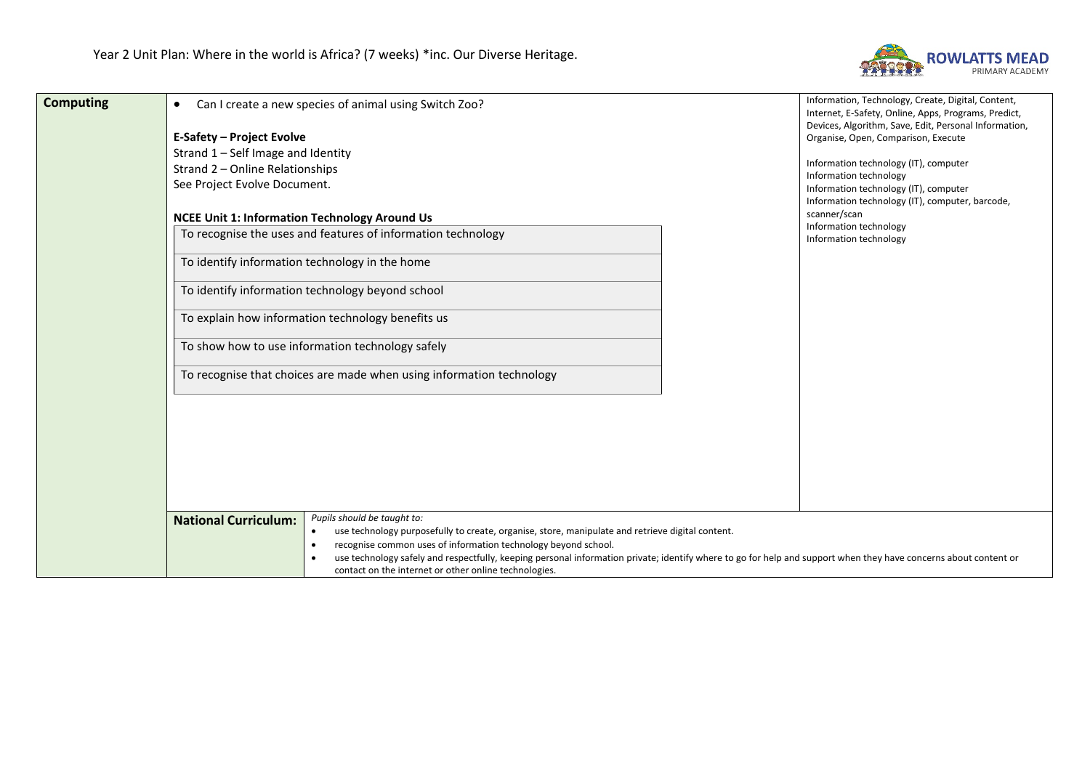

| <b>Computing</b> | Can I create a new species of animal using Switch Zoo?<br>$\bullet$                                                                                                                                                       | Information, Technology, Create, Digital, Content,                                                            |
|------------------|---------------------------------------------------------------------------------------------------------------------------------------------------------------------------------------------------------------------------|---------------------------------------------------------------------------------------------------------------|
|                  |                                                                                                                                                                                                                           | Internet, E-Safety, Online, Apps, Programs, Predict,<br>Devices, Algorithm, Save, Edit, Personal Information, |
|                  | <b>E-Safety - Project Evolve</b>                                                                                                                                                                                          | Organise, Open, Comparison, Execute                                                                           |
|                  | Strand 1 - Self Image and Identity                                                                                                                                                                                        |                                                                                                               |
|                  | Strand 2 - Online Relationships                                                                                                                                                                                           | Information technology (IT), computer<br>Information technology                                               |
|                  | See Project Evolve Document.                                                                                                                                                                                              | Information technology (IT), computer                                                                         |
|                  |                                                                                                                                                                                                                           | Information technology (IT), computer, barcode,                                                               |
|                  | <b>NCEE Unit 1: Information Technology Around Us</b>                                                                                                                                                                      | scanner/scan<br>Information technology                                                                        |
|                  | To recognise the uses and features of information technology                                                                                                                                                              | Information technology                                                                                        |
|                  | To identify information technology in the home                                                                                                                                                                            |                                                                                                               |
|                  | To identify information technology beyond school                                                                                                                                                                          |                                                                                                               |
|                  | To explain how information technology benefits us                                                                                                                                                                         |                                                                                                               |
|                  | To show how to use information technology safely                                                                                                                                                                          |                                                                                                               |
|                  | To recognise that choices are made when using information technology                                                                                                                                                      |                                                                                                               |
|                  |                                                                                                                                                                                                                           |                                                                                                               |
|                  |                                                                                                                                                                                                                           |                                                                                                               |
|                  |                                                                                                                                                                                                                           |                                                                                                               |
|                  |                                                                                                                                                                                                                           |                                                                                                               |
|                  |                                                                                                                                                                                                                           |                                                                                                               |
|                  |                                                                                                                                                                                                                           |                                                                                                               |
|                  | Pupils should be taught to:<br><b>National Curriculum:</b>                                                                                                                                                                |                                                                                                               |
|                  | use technology purposefully to create, organise, store, manipulate and retrieve digital content.<br>$\bullet$                                                                                                             |                                                                                                               |
|                  | recognise common uses of information technology beyond school.<br>$\bullet$                                                                                                                                               |                                                                                                               |
|                  | use technology safely and respectfully, keeping personal information private; identify where to go for help and support when they have concerns about content or<br>contact on the internet or other online technologies. |                                                                                                               |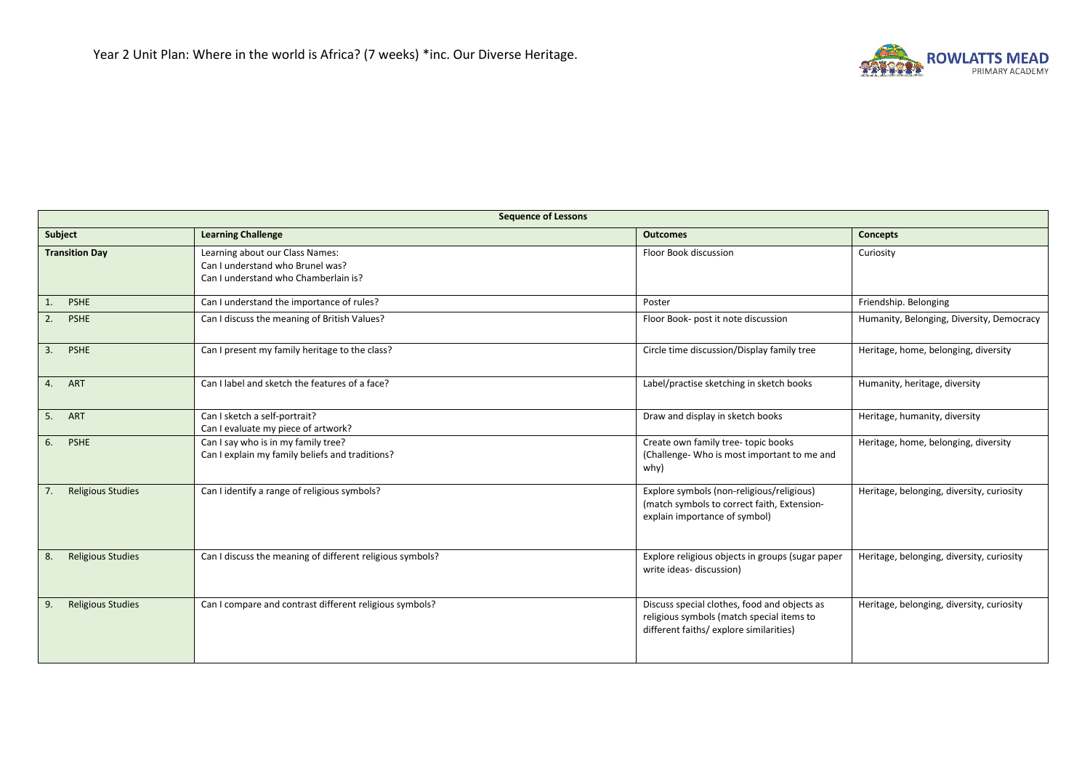

| <b>Sequence of Lessons</b>     |                                                                                                             |                                                                                                                                      |                                           |
|--------------------------------|-------------------------------------------------------------------------------------------------------------|--------------------------------------------------------------------------------------------------------------------------------------|-------------------------------------------|
| Subject                        | <b>Learning Challenge</b>                                                                                   | <b>Outcomes</b>                                                                                                                      | <b>Concepts</b>                           |
| <b>Transition Day</b>          | Learning about our Class Names:<br>Can I understand who Brunel was?<br>Can I understand who Chamberlain is? | Floor Book discussion                                                                                                                | Curiosity                                 |
| <b>PSHE</b><br>1.              | Can I understand the importance of rules?                                                                   | Poster                                                                                                                               | Friendship. Belonging                     |
| 2.<br><b>PSHE</b>              | Can I discuss the meaning of British Values?                                                                | Floor Book- post it note discussion                                                                                                  | Humanity, Belonging, Diversity, Democracy |
| 3. PSHE                        | Can I present my family heritage to the class?                                                              | Circle time discussion/Display family tree                                                                                           | Heritage, home, belonging, diversity      |
| 4. ART                         | Can I label and sketch the features of a face?                                                              | Label/practise sketching in sketch books                                                                                             | Humanity, heritage, diversity             |
| 5. ART                         | Can I sketch a self-portrait?<br>Can I evaluate my piece of artwork?                                        | Draw and display in sketch books                                                                                                     | Heritage, humanity, diversity             |
| <b>PSHE</b><br>6.              | Can I say who is in my family tree?<br>Can I explain my family beliefs and traditions?                      | Create own family tree-topic books<br>(Challenge- Who is most important to me and<br>why)                                            | Heritage, home, belonging, diversity      |
| <b>Religious Studies</b><br>7. | Can I identify a range of religious symbols?                                                                | Explore symbols (non-religious/religious)<br>(match symbols to correct faith, Extension-<br>explain importance of symbol)            | Heritage, belonging, diversity, curiosity |
| <b>Religious Studies</b><br>8. | Can I discuss the meaning of different religious symbols?                                                   | Explore religious objects in groups (sugar paper<br>write ideas- discussion)                                                         | Heritage, belonging, diversity, curiosity |
| <b>Religious Studies</b><br>9. | Can I compare and contrast different religious symbols?                                                     | Discuss special clothes, food and objects as<br>religious symbols (match special items to<br>different faiths/ explore similarities) | Heritage, belonging, diversity, curiosity |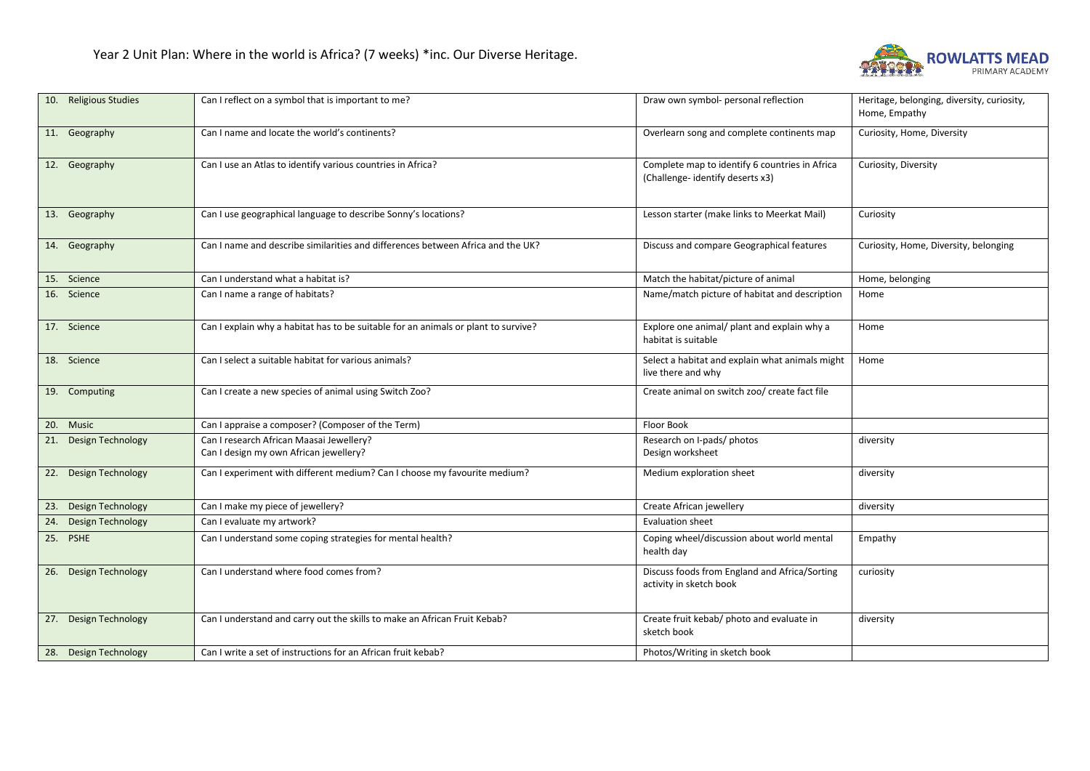

| 10. Religious Studies    | Can I reflect on a symbol that is important to me?                                 | Draw own symbol- personal reflection                                              | Heritage, belonging, diversity, curiosity,<br>Home, Empathy |
|--------------------------|------------------------------------------------------------------------------------|-----------------------------------------------------------------------------------|-------------------------------------------------------------|
| 11. Geography            | Can I name and locate the world's continents?                                      | Overlearn song and complete continents map                                        | Curiosity, Home, Diversity                                  |
| 12. Geography            | Can I use an Atlas to identify various countries in Africa?                        | Complete map to identify 6 countries in Africa<br>(Challenge-identify deserts x3) | Curiosity, Diversity                                        |
| 13. Geography            | Can I use geographical language to describe Sonny's locations?                     | Lesson starter (make links to Meerkat Mail)                                       | Curiosity                                                   |
| 14. Geography            | Can I name and describe similarities and differences between Africa and the UK?    | Discuss and compare Geographical features                                         | Curiosity, Home, Diversity, belonging                       |
| 15. Science              | Can I understand what a habitat is?                                                | Match the habitat/picture of animal                                               | Home, belonging                                             |
| 16. Science              | Can I name a range of habitats?                                                    | Name/match picture of habitat and description                                     | Home                                                        |
| 17. Science              | Can I explain why a habitat has to be suitable for an animals or plant to survive? | Explore one animal/ plant and explain why a<br>habitat is suitable                | Home                                                        |
| 18. Science              | Can I select a suitable habitat for various animals?                               | Select a habitat and explain what animals might<br>live there and why             | Home                                                        |
| 19. Computing            | Can I create a new species of animal using Switch Zoo?                             | Create animal on switch zoo/ create fact file                                     |                                                             |
| 20. Music                | Can I appraise a composer? (Composer of the Term)                                  | Floor Book                                                                        |                                                             |
| 21. Design Technology    | Can I research African Maasai Jewellery?<br>Can I design my own African jewellery? | Research on I-pads/ photos<br>Design worksheet                                    | diversity                                                   |
| 22. Design Technology    | Can I experiment with different medium? Can I choose my favourite medium?          | Medium exploration sheet                                                          | diversity                                                   |
| 23. Design Technology    | Can I make my piece of jewellery?                                                  | Create African jewellery                                                          | diversity                                                   |
| Design Technology<br>24. | Can I evaluate my artwork?                                                         | <b>Evaluation sheet</b>                                                           |                                                             |
| 25. PSHE                 | Can I understand some coping strategies for mental health?                         | Coping wheel/discussion about world mental<br>health day                          | Empathy                                                     |
| 26. Design Technology    | Can I understand where food comes from?                                            | Discuss foods from England and Africa/Sorting<br>activity in sketch book          | curiosity                                                   |
| 27. Design Technology    | Can I understand and carry out the skills to make an African Fruit Kebab?          | Create fruit kebab/ photo and evaluate in<br>sketch book                          | diversity                                                   |
| 28. Design Technology    | Can I write a set of instructions for an African fruit kebab?                      | Photos/Writing in sketch book                                                     |                                                             |